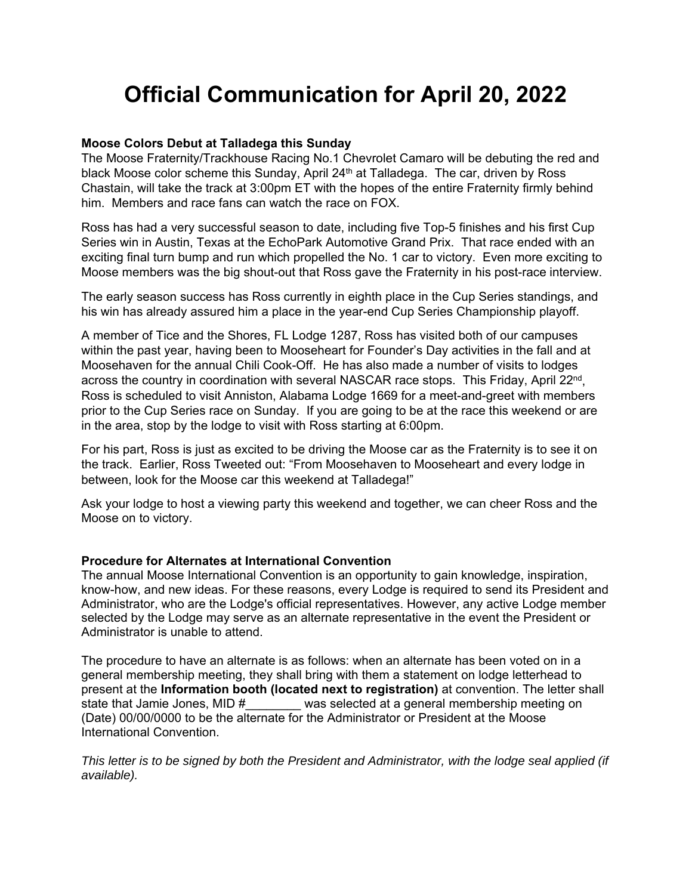# **Official Communication for April 20, 2022**

### **Moose Colors Debut at Talladega this Sunday**

The Moose Fraternity/Trackhouse Racing No.1 Chevrolet Camaro will be debuting the red and black Moose color scheme this Sunday, April 24<sup>th</sup> at Talladega. The car, driven by Ross Chastain, will take the track at 3:00pm ET with the hopes of the entire Fraternity firmly behind him. Members and race fans can watch the race on FOX.

Ross has had a very successful season to date, including five Top-5 finishes and his first Cup Series win in Austin, Texas at the EchoPark Automotive Grand Prix. That race ended with an exciting final turn bump and run which propelled the No. 1 car to victory. Even more exciting to Moose members was the big shout-out that Ross gave the Fraternity in his post-race interview.

The early season success has Ross currently in eighth place in the Cup Series standings, and his win has already assured him a place in the year-end Cup Series Championship playoff.

A member of Tice and the Shores, FL Lodge 1287, Ross has visited both of our campuses within the past year, having been to Mooseheart for Founder's Day activities in the fall and at Moosehaven for the annual Chili Cook-Off. He has also made a number of visits to lodges across the country in coordination with several NASCAR race stops. This Friday, April 22<sup>nd</sup>, Ross is scheduled to visit Anniston, Alabama Lodge 1669 for a meet-and-greet with members prior to the Cup Series race on Sunday. If you are going to be at the race this weekend or are in the area, stop by the lodge to visit with Ross starting at 6:00pm.

For his part, Ross is just as excited to be driving the Moose car as the Fraternity is to see it on the track. Earlier, Ross Tweeted out: "From Moosehaven to Mooseheart and every lodge in between, look for the Moose car this weekend at Talladega!"

Ask your lodge to host a viewing party this weekend and together, we can cheer Ross and the Moose on to victory.

#### **Procedure for Alternates at International Convention**

The annual Moose International Convention is an opportunity to gain knowledge, inspiration, know-how, and new ideas. For these reasons, every Lodge is required to send its President and Administrator, who are the Lodge's official representatives. However, any active Lodge member selected by the Lodge may serve as an alternate representative in the event the President or Administrator is unable to attend.

The procedure to have an alternate is as follows: when an alternate has been voted on in a general membership meeting, they shall bring with them a statement on lodge letterhead to present at the **Information booth (located next to registration)** at convention. The letter shall state that Jamie Jones, MID # was selected at a general membership meeting on (Date) 00/00/0000 to be the alternate for the Administrator or President at the Moose International Convention.

*This letter is to be signed by both the President and Administrator, with the lodge seal applied (if available).*